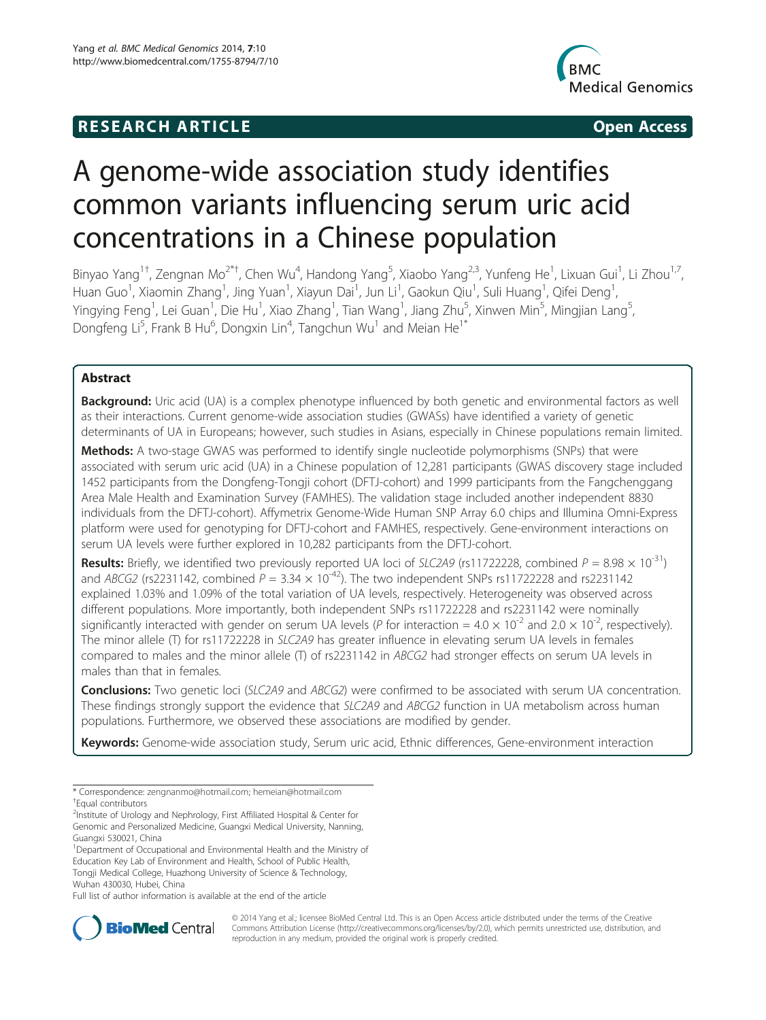## **RESEARCH ARTICLE Example 2014 12:30 The SEAR CHA RESEARCH ARTICLE**



# A genome-wide association study identifies common variants influencing serum uric acid concentrations in a Chinese population

Binyao Yang<sup>1†</sup>, Zengnan Mo<sup>2\*†</sup>, Chen Wu<sup>4</sup>, Handong Yang<sup>5</sup>, Xiaobo Yang<sup>2,3</sup>, Yunfeng He<sup>1</sup>, Lixuan Gui<sup>1</sup>, Li Zhou<sup>1,7</sup>, Huan Guo<sup>1</sup>, Xiaomin Zhang<sup>1</sup>, Jing Yuan<sup>1</sup>, Xiayun Dai<sup>1</sup>, Jun Li<sup>1</sup>, Gaokun Qiu<sup>1</sup>, Suli Huang<sup>1</sup>, Qifei Deng<sup>1</sup> , Yingying Feng<sup>1</sup>, Lei Guan<sup>1</sup>, Die Hu<sup>1</sup>, Xiao Zhang<sup>1</sup>, Tian Wang<sup>1</sup>, Jiang Zhu<sup>5</sup>, Xinwen Min<sup>5</sup>, Mingjian Lang<sup>5</sup> , Dongfeng Li<sup>5</sup>, Frank B Hu<sup>6</sup>, Dongxin Lin<sup>4</sup>, Tangchun Wu<sup>1</sup> and Meian He<sup>1\*</sup>

## Abstract

Background: Uric acid (UA) is a complex phenotype influenced by both genetic and environmental factors as well as their interactions. Current genome-wide association studies (GWASs) have identified a variety of genetic determinants of UA in Europeans; however, such studies in Asians, especially in Chinese populations remain limited.

Methods: A two-stage GWAS was performed to identify single nucleotide polymorphisms (SNPs) that were associated with serum uric acid (UA) in a Chinese population of 12,281 participants (GWAS discovery stage included 1452 participants from the Dongfeng-Tongji cohort (DFTJ-cohort) and 1999 participants from the Fangchenggang Area Male Health and Examination Survey (FAMHES). The validation stage included another independent 8830 individuals from the DFTJ-cohort). Affymetrix Genome-Wide Human SNP Array 6.0 chips and Illumina Omni-Express platform were used for genotyping for DFTJ-cohort and FAMHES, respectively. Gene-environment interactions on serum UA levels were further explored in 10,282 participants from the DFTJ-cohort.

**Results:** Briefly, we identified two previously reported UA loci of SLC2A9 (rs11722228, combined  $P = 8.98 \times 10^{-31}$ ) and ABCG2 (rs2231142, combined  $P = 3.34 \times 10^{-42}$ ). The two independent SNPs rs11722228 and rs2231142 explained 1.03% and 1.09% of the total variation of UA levels, respectively. Heterogeneity was observed across different populations. More importantly, both independent SNPs rs11722228 and rs2231142 were nominally significantly interacted with gender on serum UA levels (P for interaction =  $4.0 \times 10^{-2}$  and  $2.0 \times 10^{-2}$ , respectively). The minor allele (T) for rs11722228 in SLC2A9 has greater influence in elevating serum UA levels in females compared to males and the minor allele (T) of rs2231142 in ABCG2 had stronger effects on serum UA levels in males than that in females.

**Conclusions:** Two genetic loci (SLC2A9 and ABCG2) were confirmed to be associated with serum UA concentration. These findings strongly support the evidence that SLC2A9 and ABCG2 function in UA metabolism across human populations. Furthermore, we observed these associations are modified by gender.

Keywords: Genome-wide association study, Serum uric acid, Ethnic differences, Gene-environment interaction

<sup>1</sup>Department of Occupational and Environmental Health and the Ministry of Education Key Lab of Environment and Health, School of Public Health, Tongji Medical College, Huazhong University of Science & Technology, Wuhan 430030, Hubei, China

Full list of author information is available at the end of the article



© 2014 Yang et al.; licensee BioMed Central Ltd. This is an Open Access article distributed under the terms of the Creative Commons Attribution License [\(http://creativecommons.org/licenses/by/2.0\)](http://creativecommons.org/licenses/by/2.0), which permits unrestricted use, distribution, and reproduction in any medium, provided the original work is properly credited.

<sup>\*</sup> Correspondence: [zengnanmo@hotmail.com](mailto:zengnanmo@hotmail.com); [hemeian@hotmail.com](mailto:hemeian@hotmail.com) † <sup>T</sup>Equal contributors

<sup>&</sup>lt;sup>2</sup>Institute of Urology and Nephrology, First Affiliated Hospital & Center for Genomic and Personalized Medicine, Guangxi Medical University, Nanning, Guangxi 530021, China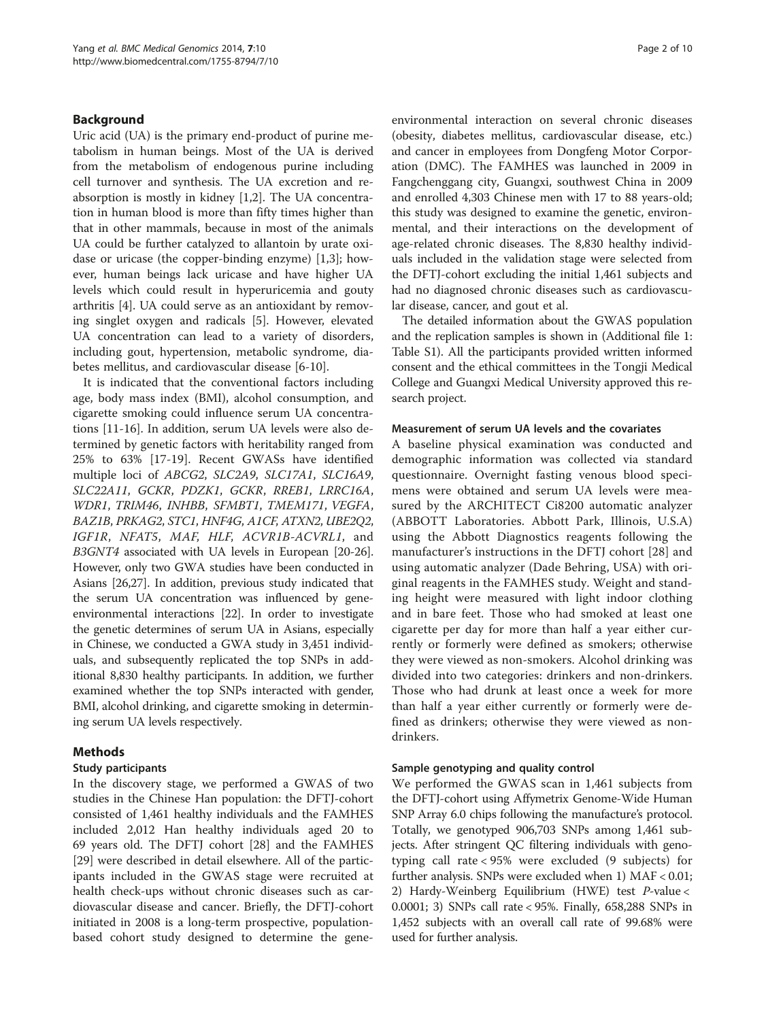## Background

Uric acid (UA) is the primary end-product of purine metabolism in human beings. Most of the UA is derived from the metabolism of endogenous purine including cell turnover and synthesis. The UA excretion and reabsorption is mostly in kidney [\[1,2](#page-8-0)]. The UA concentration in human blood is more than fifty times higher than that in other mammals, because in most of the animals UA could be further catalyzed to allantoin by urate oxidase or uricase (the copper-binding enzyme) [[1,3\]](#page-8-0); however, human beings lack uricase and have higher UA levels which could result in hyperuricemia and gouty arthritis [\[4](#page-8-0)]. UA could serve as an antioxidant by removing singlet oxygen and radicals [\[5\]](#page-8-0). However, elevated UA concentration can lead to a variety of disorders, including gout, hypertension, metabolic syndrome, diabetes mellitus, and cardiovascular disease [\[6](#page-8-0)-[10\]](#page-8-0).

It is indicated that the conventional factors including age, body mass index (BMI), alcohol consumption, and cigarette smoking could influence serum UA concentrations [[11-16](#page-8-0)]. In addition, serum UA levels were also determined by genetic factors with heritability ranged from 25% to 63% [[17-19](#page-8-0)]. Recent GWASs have identified multiple loci of ABCG2, SLC2A9, SLC17A1, SLC16A9, SLC22A11, GCKR, PDZK1, GCKR, RREB1, LRRC16A, WDR1, TRIM46, INHBB, SFMBT1, TMEM171, VEGFA, BAZ1B, PRKAG2, STC1, HNF4G, A1CF, ATXN2, UBE2Q2, IGF1R, NFAT5, MAF, HLF, ACVR1B-ACVRL1, and B3GNT4 associated with UA levels in European [[20](#page-8-0)-[26](#page-8-0)]. However, only two GWA studies have been conducted in Asians [\[26,27](#page-8-0)]. In addition, previous study indicated that the serum UA concentration was influenced by geneenvironmental interactions [[22](#page-8-0)]. In order to investigate the genetic determines of serum UA in Asians, especially in Chinese, we conducted a GWA study in 3,451 individuals, and subsequently replicated the top SNPs in additional 8,830 healthy participants. In addition, we further examined whether the top SNPs interacted with gender, BMI, alcohol drinking, and cigarette smoking in determining serum UA levels respectively.

## Methods

## Study participants

In the discovery stage, we performed a GWAS of two studies in the Chinese Han population: the DFTJ-cohort consisted of 1,461 healthy individuals and the FAMHES included 2,012 Han healthy individuals aged 20 to 69 years old. The DFTJ cohort [\[28\]](#page-8-0) and the FAMHES [[29\]](#page-8-0) were described in detail elsewhere. All of the participants included in the GWAS stage were recruited at health check-ups without chronic diseases such as cardiovascular disease and cancer. Briefly, the DFTJ-cohort initiated in 2008 is a long-term prospective, populationbased cohort study designed to determine the gene-

environmental interaction on several chronic diseases (obesity, diabetes mellitus, cardiovascular disease, etc.) and cancer in employees from Dongfeng Motor Corporation (DMC). The FAMHES was launched in 2009 in Fangchenggang city, Guangxi, southwest China in 2009 and enrolled 4,303 Chinese men with 17 to 88 years-old; this study was designed to examine the genetic, environmental, and their interactions on the development of age-related chronic diseases. The 8,830 healthy individuals included in the validation stage were selected from the DFTJ-cohort excluding the initial 1,461 subjects and had no diagnosed chronic diseases such as cardiovascular disease, cancer, and gout et al.

The detailed information about the GWAS population and the replication samples is shown in (Additional file [1](#page-7-0): Table S1). All the participants provided written informed consent and the ethical committees in the Tongji Medical College and Guangxi Medical University approved this research project.

#### Measurement of serum UA levels and the covariates

A baseline physical examination was conducted and demographic information was collected via standard questionnaire. Overnight fasting venous blood specimens were obtained and serum UA levels were measured by the ARCHITECT Ci8200 automatic analyzer (ABBOTT Laboratories. Abbott Park, Illinois, U.S.A) using the Abbott Diagnostics reagents following the manufacturer's instructions in the DFTJ cohort [\[28](#page-8-0)] and using automatic analyzer (Dade Behring, USA) with original reagents in the FAMHES study. Weight and standing height were measured with light indoor clothing and in bare feet. Those who had smoked at least one cigarette per day for more than half a year either currently or formerly were defined as smokers; otherwise they were viewed as non-smokers. Alcohol drinking was divided into two categories: drinkers and non-drinkers. Those who had drunk at least once a week for more than half a year either currently or formerly were defined as drinkers; otherwise they were viewed as nondrinkers.

## Sample genotyping and quality control

We performed the GWAS scan in 1,461 subjects from the DFTJ-cohort using Affymetrix Genome-Wide Human SNP Array 6.0 chips following the manufacture's protocol. Totally, we genotyped 906,703 SNPs among 1,461 subjects. After stringent QC filtering individuals with genotyping call rate < 95% were excluded (9 subjects) for further analysis. SNPs were excluded when 1) MAF < 0.01; 2) Hardy-Weinberg Equilibrium (HWE) test P-value < 0.0001; 3) SNPs call rate < 95%. Finally, 658,288 SNPs in 1,452 subjects with an overall call rate of 99.68% were used for further analysis.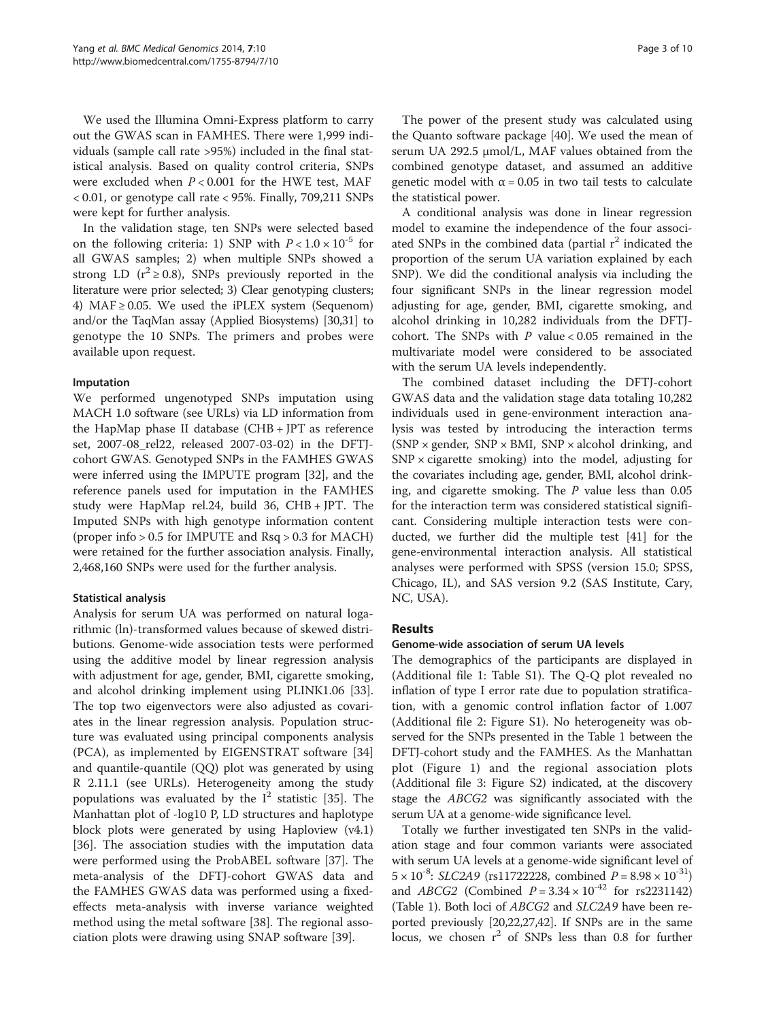We used the Illumina Omni-Express platform to carry out the GWAS scan in FAMHES. There were 1,999 individuals (sample call rate >95%) included in the final statistical analysis. Based on quality control criteria, SNPs were excluded when  $P < 0.001$  for the HWE test, MAF  $< 0.01$ , or genotype call rate  $< 95\%$ . Finally, 709,211 SNPs were kept for further analysis.

In the validation stage, ten SNPs were selected based on the following criteria: 1) SNP with  $P < 1.0 \times 10^{-5}$  for all GWAS samples; 2) when multiple SNPs showed a strong LD ( $r^2 \ge 0.8$ ), SNPs previously reported in the literature were prior selected; 3) Clear genotyping clusters; 4) MAF  $\geq$  0.05. We used the iPLEX system (Sequenom) and/or the TaqMan assay (Applied Biosystems) [[30,31\]](#page-8-0) to genotype the 10 SNPs. The primers and probes were available upon request.

#### Imputation

We performed ungenotyped SNPs imputation using MACH 1.0 software (see URLs) via LD information from the HapMap phase II database (CHB + JPT as reference set, 2007-08\_rel22, released 2007-03-02) in the DFTJcohort GWAS. Genotyped SNPs in the FAMHES GWAS were inferred using the IMPUTE program [\[32](#page-8-0)], and the reference panels used for imputation in the FAMHES study were HapMap rel.24, build 36, CHB + JPT. The Imputed SNPs with high genotype information content (proper info > 0.5 for IMPUTE and Rsq > 0.3 for MACH) were retained for the further association analysis. Finally, 2,468,160 SNPs were used for the further analysis.

#### Statistical analysis

Analysis for serum UA was performed on natural logarithmic (ln)-transformed values because of skewed distributions. Genome-wide association tests were performed using the additive model by linear regression analysis with adjustment for age, gender, BMI, cigarette smoking, and alcohol drinking implement using PLINK1.06 [\[33](#page-8-0)]. The top two eigenvectors were also adjusted as covariates in the linear regression analysis. Population structure was evaluated using principal components analysis (PCA), as implemented by EIGENSTRAT software [[34](#page-8-0)] and quantile-quantile (QQ) plot was generated by using R 2.11.1 (see URLs). Heterogeneity among the study populations was evaluated by the  $I^2$  statistic [[35](#page-8-0)]. The Manhattan plot of -log10 P, LD structures and haplotype block plots were generated by using Haploview (v4.1) [[36\]](#page-8-0). The association studies with the imputation data were performed using the ProbABEL software [[37](#page-8-0)]. The meta-analysis of the DFTJ-cohort GWAS data and the FAMHES GWAS data was performed using a fixedeffects meta-analysis with inverse variance weighted method using the metal software [\[38\]](#page-8-0). The regional association plots were drawing using SNAP software [[39\]](#page-8-0).

The power of the present study was calculated using the Quanto software package [\[40](#page-9-0)]. We used the mean of serum UA 292.5 μmol/L, MAF values obtained from the combined genotype dataset, and assumed an additive genetic model with  $\alpha = 0.05$  in two tail tests to calculate the statistical power.

A conditional analysis was done in linear regression model to examine the independence of the four associated SNPs in the combined data (partial  $r<sup>2</sup>$  indicated the proportion of the serum UA variation explained by each SNP). We did the conditional analysis via including the four significant SNPs in the linear regression model adjusting for age, gender, BMI, cigarette smoking, and alcohol drinking in 10,282 individuals from the DFTJcohort. The SNPs with  $P$  value < 0.05 remained in the multivariate model were considered to be associated with the serum UA levels independently.

The combined dataset including the DFTJ-cohort GWAS data and the validation stage data totaling 10,282 individuals used in gene-environment interaction analysis was tested by introducing the interaction terms  $(SNP \times gender, SNP \times BMI, SNP \times alcohol$  drinking, and  $SNP \times$  cigarette smoking) into the model, adjusting for the covariates including age, gender, BMI, alcohol drinking, and cigarette smoking. The  $P$  value less than 0.05 for the interaction term was considered statistical significant. Considering multiple interaction tests were conducted, we further did the multiple test [\[41\]](#page-9-0) for the gene-environmental interaction analysis. All statistical analyses were performed with SPSS (version 15.0; SPSS, Chicago, IL), and SAS version 9.2 (SAS Institute, Cary, NC, USA).

## Results

#### Genome-wide association of serum UA levels

The demographics of the participants are displayed in (Additional file [1](#page-7-0): Table S1). The Q-Q plot revealed no inflation of type I error rate due to population stratification, with a genomic control inflation factor of 1.007 (Additional file [2:](#page-7-0) Figure S1). No heterogeneity was observed for the SNPs presented in the Table [1](#page-3-0) between the DFTJ-cohort study and the FAMHES. As the Manhattan plot (Figure [1](#page-3-0)) and the regional association plots (Additional file [3:](#page-7-0) Figure S2) indicated, at the discovery stage the ABCG2 was significantly associated with the serum UA at a genome-wide significance level.

Totally we further investigated ten SNPs in the validation stage and four common variants were associated with serum UA levels at a genome-wide significant level of  $5 \times 10^{-8}$ : SLC2A9 (rs11722228, combined  $P = 8.98 \times 10^{-31}$ ) and *ABCG2* (Combined  $P = 3.34 \times 10^{-42}$  for rs2231142) (Table [1](#page-3-0)). Both loci of ABCG2 and SLC2A9 have been reported previously [\[20,22,27](#page-8-0)[,42\]](#page-9-0). If SNPs are in the same locus, we chosen  $r^2$  of SNPs less than 0.8 for further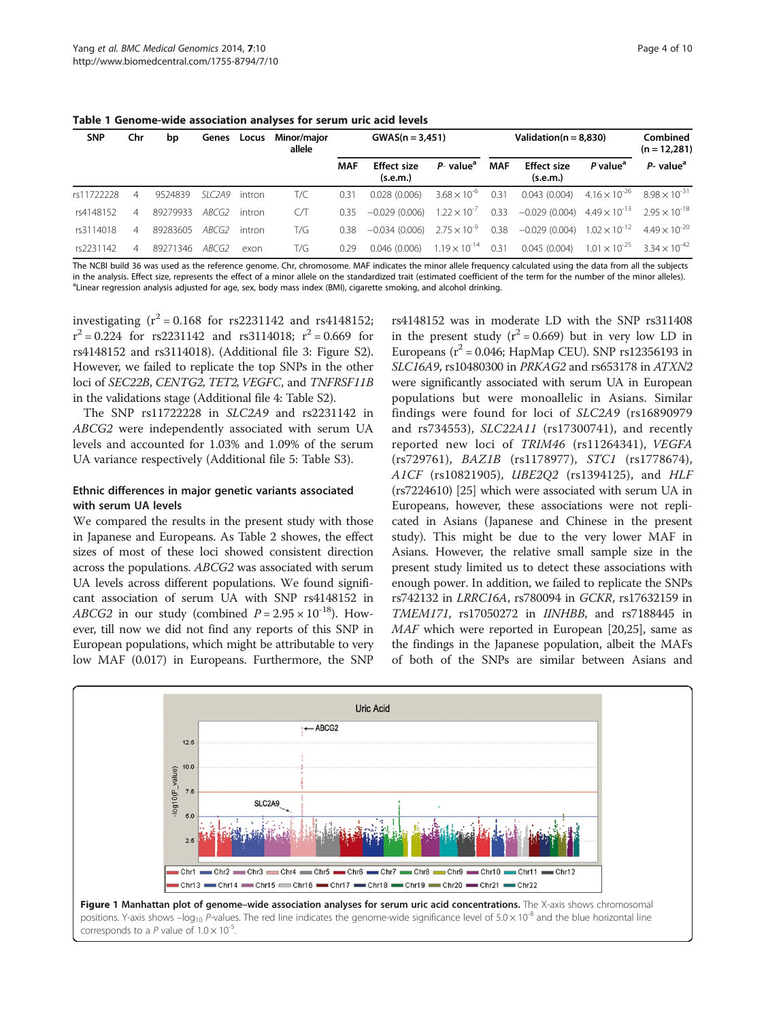<span id="page-3-0"></span>Table 1 Genome-wide association analyses for serum uric acid levels

| <b>SNP</b> | Chr            | bp       | Genes  | Locus  | <b>Minor/maior</b><br>allele |            | $GWAS(n = 3,451)$                          |                         |            | Validation( $n = 8.830$ )                                                            | Combined<br>$(n = 12,281)$ |                                               |
|------------|----------------|----------|--------|--------|------------------------------|------------|--------------------------------------------|-------------------------|------------|--------------------------------------------------------------------------------------|----------------------------|-----------------------------------------------|
|            |                |          |        |        |                              | <b>MAF</b> | <b>Effect size</b><br>(s.e.m.)             | $P-$ value <sup>a</sup> | <b>MAF</b> | <b>Effect size</b><br>(s.e.m.)                                                       | P value <sup>a</sup>       | $P$ - value <sup>a</sup>                      |
| rs11722228 | 4              | 9524839  | SLC2A9 | intron | T/C                          | 0.31       | 0.028(0.006)                               | $3.68 \times 10^{-6}$   | 0.31       | 0.043(0.004)                                                                         |                            | $4.16 \times 10^{-26}$ $8.98 \times 10^{-31}$ |
| rs4148152  | $\overline{A}$ | 89279933 | ABCG2  | intron | CЛ                           | 0.35       | -0.029 (0.006)                             | $1.22 \times 10^{-7}$   |            | 0.33 $-0.029(0.004)$ 4.49 $\times$ 10 <sup>-13</sup> 2.95 $\times$ 10 <sup>-18</sup> |                            |                                               |
| rs3114018  | $\overline{A}$ | 89283605 | ABCG2  | intron | T/G                          | 0.38       | $-0.034(0.006)$                            | $2.75 \times 10^{-9}$   | 0.38       | $-0.029(0.004)$                                                                      |                            | $1.02 \times 10^{-12}$ 4.49 $\times 10^{-20}$ |
| rs2231142  | $\overline{A}$ | 89271346 | ABCG2  | exon   | T/G                          | 0.29       | $0.046(0.006)$ $1.19 \times 10^{-14}$ 0.31 |                         |            | 0.045(0.004)                                                                         |                            | $1.01 \times 10^{-25}$ $3.34 \times 10^{-42}$ |

The NCBI build 36 was used as the reference genome. Chr, chromosome. MAF indicates the minor allele frequency calculated using the data from all the subjects in the analysis. Effect size, represents the effect of a minor allele on the standardized trait (estimated coefficient of the term for the number of the minor alleles). <sup>a</sup> Linear regression analysis adjusted for age, sex, body mass index (BMI), cigarette smoking, and alcohol drinking.

investigating  $(r^2 = 0.168$  for rs2231142 and rs4148152;  $r^2 = 0.224$  for rs2231142 and rs3114018;  $r^2 = 0.669$  for rs4148152 and rs3114018). (Additional file [3](#page-7-0): Figure S2). However, we failed to replicate the top SNPs in the other loci of SEC22B, CENTG2, TET2, VEGFC, and TNFRSF11B in the validations stage (Additional file [4:](#page-7-0) Table S2).

The SNP rs11722228 in SLC2A9 and rs2231142 in ABCG2 were independently associated with serum UA levels and accounted for 1.03% and 1.09% of the serum UA variance respectively (Additional file [5:](#page-7-0) Table S3).

## Ethnic differences in major genetic variants associated with serum UA levels

We compared the results in the present study with those in Japanese and Europeans. As Table [2](#page-4-0) showes, the effect sizes of most of these loci showed consistent direction across the populations. ABCG2 was associated with serum UA levels across different populations. We found significant association of serum UA with SNP rs4148152 in ABCG2 in our study (combined  $P = 2.95 \times 10^{-18}$ ). However, till now we did not find any reports of this SNP in European populations, which might be attributable to very low MAF (0.017) in Europeans. Furthermore, the SNP

rs4148152 was in moderate LD with the SNP rs311408 in the present study  $(r^2 = 0.669)$  but in very low LD in Europeans ( $r^2$  = 0.046; HapMap CEU). SNP rs12356193 in SLC16A9, rs10480300 in PRKAG2 and rs653178 in ATXN2 were significantly associated with serum UA in European populations but were monoallelic in Asians. Similar findings were found for loci of SLC2A9 (rs16890979 and rs734553), SLC22A11 (rs17300741), and recently reported new loci of TRIM46 (rs11264341), VEGFA (rs729761), BAZ1B (rs1178977), STC1 (rs1778674), A1CF (rs10821905), UBE2Q2 (rs1394125), and HLF (rs7224610) [[25\]](#page-8-0) which were associated with serum UA in Europeans, however, these associations were not replicated in Asians (Japanese and Chinese in the present study). This might be due to the very lower MAF in Asians. However, the relative small sample size in the present study limited us to detect these associations with enough power. In addition, we failed to replicate the SNPs rs742132 in LRRC16A, rs780094 in GCKR, rs17632159 in TMEM171, rs17050272 in IINHBB, and rs7188445 in MAF which were reported in European [[20,25\]](#page-8-0), same as the findings in the Japanese population, albeit the MAFs of both of the SNPs are similar between Asians and

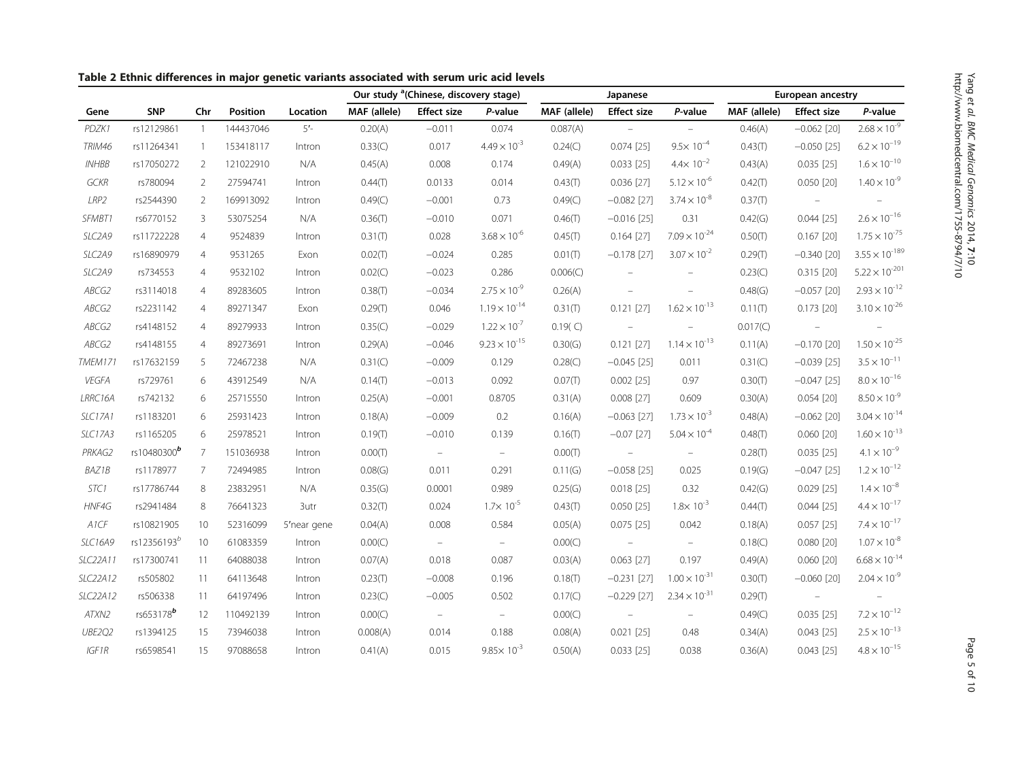|                     |                         |                |           |             | Our study <sup>a</sup> (Chinese, discovery stage) |                    |                        | Japanese     |                          |                        | European ancestry |                    |                             |
|---------------------|-------------------------|----------------|-----------|-------------|---------------------------------------------------|--------------------|------------------------|--------------|--------------------------|------------------------|-------------------|--------------------|-----------------------------|
| Gene                | <b>SNP</b>              | Chr            | Position  | Location    | MAF (allele)                                      | <b>Effect size</b> | P-value                | MAF (allele) | <b>Effect size</b>       | P-value                | MAF (allele)      | <b>Effect size</b> | P-value                     |
| PDZK1               | rs12129861              | $\overline{1}$ | 144437046 | $5'$ -      | 0.20(A)                                           | $-0.011$           | 0.074                  | 0.087(A)     | $\equiv$                 |                        | 0.46(A)           | $-0.062$ [20]      | $2.68 \times 10^{-9}$       |
| <b>TRIM46</b>       | rs11264341              | $\overline{1}$ | 153418117 | Intron      | 0.33(C)                                           | 0.017              | $4.49 \times 10^{-3}$  | 0.24(C)      | $0.074$ [25]             | $9.5 \times 10^{-4}$   | 0.43(T)           | $-0.050$ [25]      | $6.2 \times 10^{-19}$       |
| INHBB               | rs17050272              | 2              | 121022910 | N/A         | 0.45(A)                                           | 0.008              | 0.174                  | 0.49(A)      | $0.033$ [25]             | $4.4 \times 10^{-2}$   | 0.43(A)           | $0.035$ [25]       | $1.6\times10^{-10}$         |
| <b>GCKR</b>         | rs780094                | 2              | 27594741  | Intron      | 0.44(T)                                           | 0.0133             | 0.014                  | 0.43(T)      | $0.036$ [27]             | $5.12 \times 10^{-6}$  | 0.42(T)           | $0.050$ [20]       | $1.40 \times 10^{-9}$       |
| LRP2                | rs2544390               | 2              | 169913092 | Intron      | 0.49(C)                                           | $-0.001$           | 0.73                   | 0.49(C)      | $-0.082$ [27]            | $3.74 \times 10^{-8}$  | 0.37(T)           |                    |                             |
| SFMBT1              | rs6770152               | 3              | 53075254  | N/A         | 0.36(T)                                           | $-0.010$           | 0.071                  | 0.46(T)      | $-0.016$ [25]            | 0.31                   | 0.42(G)           | $0.044$ [25]       | $2.6\times10^{-16}$         |
| SLC2A9              | rs11722228              | $\overline{4}$ | 9524839   | Intron      | 0.31(T)                                           | 0.028              | $3.68 \times 10^{-6}$  | 0.45(T)      | $0.164$ [27]             | $7.09 \times 10^{-24}$ | 0.50(T)           | $0.167$ [20]       | $1.75 \times 10^{-75}$      |
| SLC2A9              | rs16890979              | $\overline{4}$ | 9531265   | Exon        | 0.02(T)                                           | $-0.024$           | 0.285                  | 0.01(T)      | $-0.178$ [27]            | $3.07 \times 10^{-2}$  | 0.29(T)           | $-0.340$ [20]      | $3.55 \times 10^{-189}$     |
| SLC <sub>2</sub> A9 | rs734553                | 4              | 9532102   | Intron      | 0.02(C)                                           | $-0.023$           | 0.286                  | 0.006(C)     |                          | $\qquad \qquad -$      | 0.23(C)           | $0.315$ [20]       | $5.22 \times 10^{-201}$     |
| ABCG2               | rs3114018               | $\overline{4}$ | 89283605  | Intron      | 0.38(T)                                           | $-0.034$           | $2.75 \times 10^{-9}$  | 0.26(A)      |                          |                        | 0.48(G)           | $-0.057$ [20]      | $2.93 \times 10^{-12}$      |
| ABCG2               | rs2231142               | 4              | 89271347  | Exon        | 0.29(T)                                           | 0.046              | $1.19 \times 10^{-14}$ | 0.31(T)      | $0.121$ [27]             | $1.62 \times 10^{-13}$ | 0.11(T)           | $0.173$ [20]       | $3.10 \times 10^{-26}$      |
| ABCG2               | rs4148152               | 4              | 89279933  | Intron      | 0.35(C)                                           | $-0.029$           | $1.22 \times 10^{-7}$  | 0.19(C)      |                          | $\equiv$               | 0.017(C)          | $\equiv$           |                             |
| ABCG2               | rs4148155               | $\overline{4}$ | 89273691  | Intron      | 0.29(A)                                           | $-0.046$           | $9.23 \times 10^{-15}$ | 0.30(G)      | $0.121$ [27]             | $1.14 \times 10^{-13}$ | 0.11(A)           | $-0.170$ [20]      | $1.50 \times 10^{-25}$      |
| TMEM171             | rs17632159              | 5              | 72467238  | N/A         | 0.31(C)                                           | $-0.009$           | 0.129                  | 0.28(C)      | $-0.045$ [25]            | 0.011                  | 0.31(C)           | $-0.039$ [25]      | $3.5 \times 10^{-11}$       |
| VEGFA               | rs729761                | 6              | 43912549  | N/A         | 0.14(T)                                           | $-0.013$           | 0.092                  | 0.07(T)      | $0.002$ [25]             | 0.97                   | 0.30(T)           | $-0.047$ [25]      | $8.0 \times 10^{-16}$       |
| LRRC16A             | rs742132                | 6              | 25715550  | Intron      | 0.25(A)                                           | $-0.001$           | 0.8705                 | 0.31(A)      | 0.008 [27]               | 0.609                  | 0.30(A)           | $0.054$ [20]       | $8.50 \times 10^{-9}$       |
| <b>SLC17A1</b>      | rs1183201               | 6              | 25931423  | Intron      | 0.18(A)                                           | $-0.009$           | 0.2                    | 0.16(A)      | $-0.063$ [27]            | $1.73 \times 10^{-3}$  | 0.48(A)           | $-0.062$ [20]      | $3.04 \times 10^{-14}$      |
| SLC17A3             | rs1165205               | 6              | 25978521  | Intron      | 0.19(T)                                           | $-0.010$           | 0.139                  | 0.16(T)      | $-0.07$ [27]             | $5.04 \times 10^{-4}$  | 0.48(T)           | $0.060$ [20]       | $1.60 \times 10^{-13}$      |
| PRKAG2              | rs10480300 <sup>b</sup> | 7              | 151036938 | Intron      | 0.00(T)                                           | $\equiv$           | $\equiv$               | 0.00(T)      |                          | $\qquad \qquad =$      | 0.28(T)           | $0.035$ [25]       | $4.1 \times 10^{-9}$        |
| BAZ1B               | rs1178977               | $\overline{7}$ | 72494985  | Intron      | 0.08(G)                                           | 0.011              | 0.291                  | 0.11(G)      | $-0.058$ [25]            | 0.025                  | 0.19(G)           | $-0.047$ [25]      | $1.2 \times 10^{-12}$       |
| STC1                | rs17786744              | 8              | 23832951  | N/A         | 0.35(G)                                           | 0.0001             | 0.989                  | 0.25(G)      | $0.018$ [25]             | 0.32                   | 0.42(G)           | $0.029$ [25]       | $1.4 \times 10^{-8}$        |
| HNF4G               | rs2941484               | 8              | 76641323  | 3utr        | 0.32(T)                                           | 0.024              | $1.7 \times 10^{-5}$   | 0.43(T)      | $0.050$ [25]             | $1.8 \times 10^{-3}$   | 0.44(T)           | $0.044$ [25]       | $4.4 \times 10^{-17}$       |
| A1CF                | rs10821905              | 10             | 52316099  | 5'near gene | 0.04(A)                                           | 0.008              | 0.584                  | 0.05(A)      | $0.075$ [25]             | 0.042                  | 0.18(A)           | $0.057$ [25]       | $7.4 \times 10^{-17}$       |
| <b>SLC16A9</b>      | rs12356193 <sup>b</sup> | 10             | 61083359  | Intron      | 0.00(C)                                           | $\equiv$           | $\equiv$               | 0.00(C)      |                          | $\frac{1}{2}$          | 0.18(C)           | $0.080$ [20]       | $1.07 \times 10^{-8}$       |
| SLC22A11            | rs17300741              | 11             | 64088038  | Intron      | 0.07(A)                                           | 0.018              | 0.087                  | 0.03(A)      | $0.063$ [27]             | 0.197                  | 0.49(A)           | $0.060$ [20]       | $6.68\times10^{\text{-}14}$ |
| SLC22A12            | rs505802                | 11             | 64113648  | Intron      | 0.23(T)                                           | $-0.008$           | 0.196                  | 0.18(T)      | $-0.231$ [27]            | $1.00 \times 10^{-31}$ | 0.30(T)           | $-0.060$ [20]      | $2.04 \times 10^{-9}$       |
| SLC22A12            | rs506338                | 11             | 64197496  | Intron      | 0.23(C)                                           | $-0.005$           | 0.502                  | 0.17(C)      | $-0.229$ [27]            | $2.34 \times 10^{-31}$ | 0.29(T)           |                    |                             |
| ATXN2               | rs653178 <sup>b</sup>   | 12             | 110492139 | Intron      | 0.00(C)                                           | $\equiv$           | $\equiv$               | 0.00(C)      | $\overline{\phantom{a}}$ | $\equiv$               | 0.49(C)           | $0.035$ [25]       | $7.2 \times 10^{-12}$       |
| UBE2Q2              | rs1394125               | 15             | 73946038  | Intron      | 0.008(A)                                          | 0.014              | 0.188                  | 0.08(A)      | $0.021$ [25]             | 0.48                   | 0.34(A)           | $0.043$ [25]       | $2.5\times10^{-13}$         |
| IGF1R               | rs6598541               | 15             | 97088658  | Intron      | 0.41(A)                                           | 0.015              | $9.85 \times 10^{-3}$  | 0.50(A)      | $0.033$ [25]             | 0.038                  | 0.36(A)           | $0.043$ [25]       | $4.8 \times 10^{-15}$       |

<span id="page-4-0"></span>Table 2 Ethnic differences in major genetic variants associated with serum uric acid levels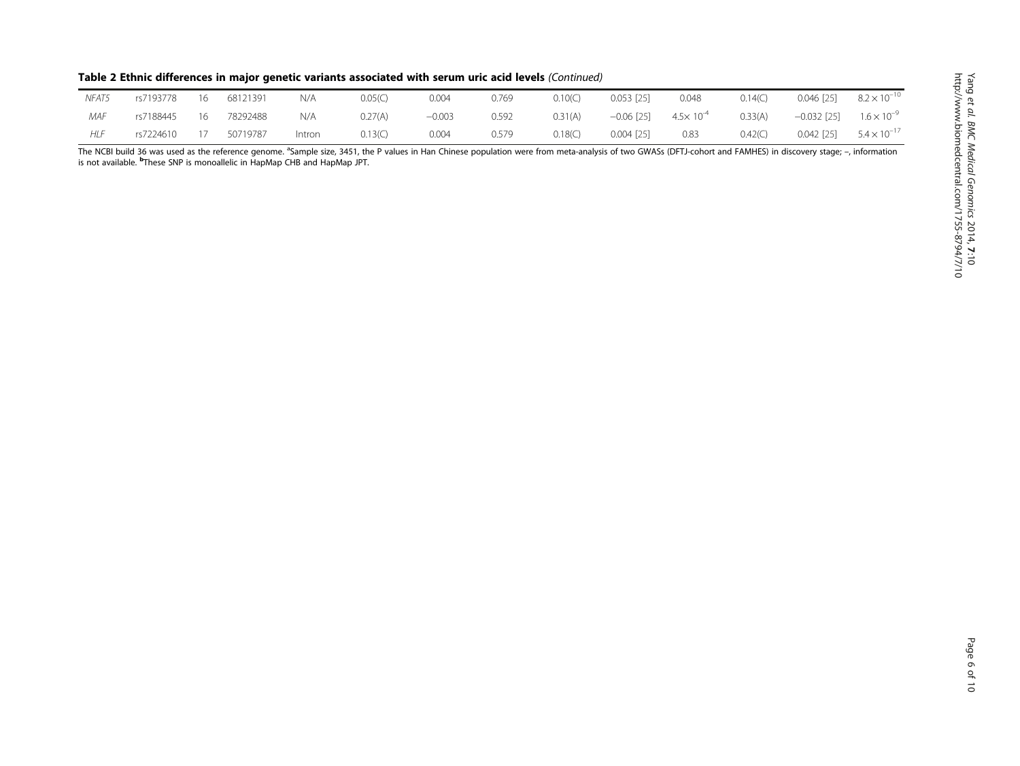| Table 2 Ethnic differences in major genetic variants associated with serum uric acid levels (Continued) |  |  |  |
|---------------------------------------------------------------------------------------------------------|--|--|--|
|---------------------------------------------------------------------------------------------------------|--|--|--|

| NFAT5      | rs7193778 | 16 | 68121391 | N/A    | 0.05(C) | 0.004    | 0.769 | 0.10(C) | 0.053 [25]   | 0.048                | 0.14(C) | $0.046$ [25]  | $8.2 \times 10^{-10}$ |
|------------|-----------|----|----------|--------|---------|----------|-------|---------|--------------|----------------------|---------|---------------|-----------------------|
| MAF        | rs7188445 | 16 | 78292488 | N/A    | 0.27(A) | $-0.003$ | 0.592 | 0.31(A) | $-0.06$ [25] | $4.5 \times 10^{-4}$ | 0.33(A) | $-0.032$ [25] | $1.6 \times 10^{-9}$  |
| <b>HLF</b> | rs7224610 |    | 50719787 | Intron | 0.13(C) | 0.004    | 0.579 | 0.18(C) | $0.004$ [25] | 0.83                 | 0.42(C) | $0.042$ [25]  | $5.4 \times 10^{-17}$ |

The NCBI build 36 was used as the reference genome. <sup>a</sup>Sample size, 3451, the P values in Han Chinese population were from meta-analysis of two GWASs (DFTJ-cohort and FAMHES) in discovery stage; –, information<br>is not avail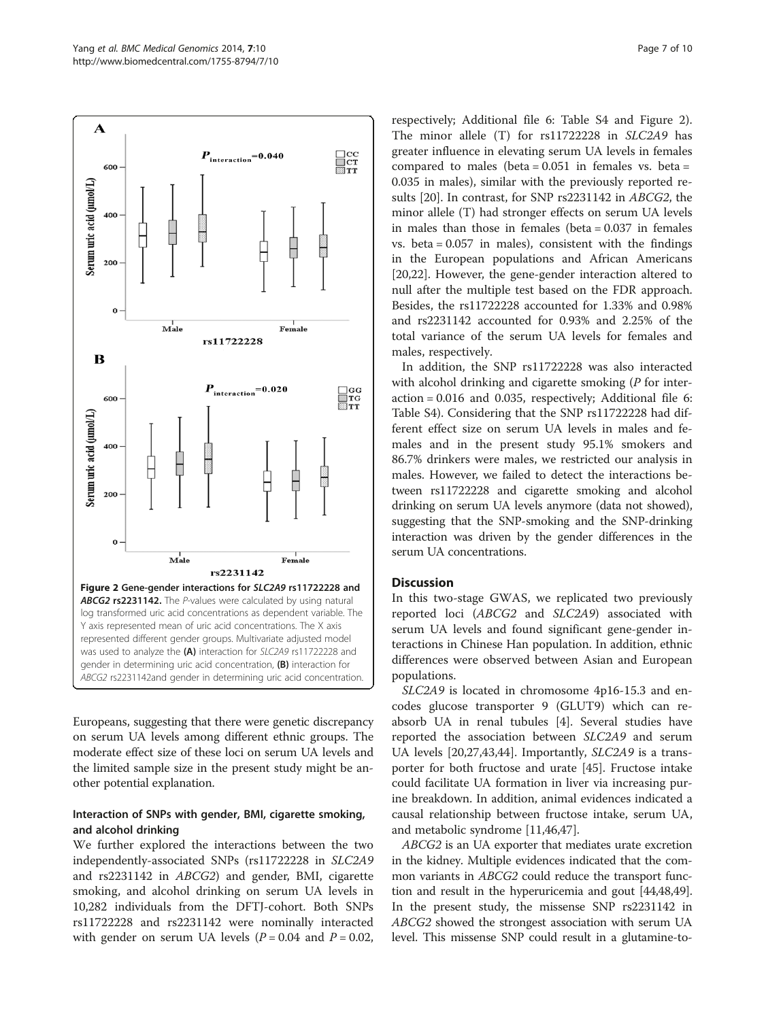$\mathbf A$ 

600



 $\boldsymbol{P}_{\text{interaction}}\!\!=\!\!0.040$ 

Europeans, suggesting that there were genetic discrepancy on serum UA levels among different ethnic groups. The moderate effect size of these loci on serum UA levels and the limited sample size in the present study might be another potential explanation.

## Interaction of SNPs with gender, BMI, cigarette smoking, and alcohol drinking

We further explored the interactions between the two independently-associated SNPs (rs11722228 in SLC2A9 and rs2231142 in ABCG2) and gender, BMI, cigarette smoking, and alcohol drinking on serum UA levels in 10,282 individuals from the DFTJ-cohort. Both SNPs rs11722228 and rs2231142 were nominally interacted with gender on serum UA levels  $(P = 0.04$  and  $P = 0.02$ ,

respectively; Additional file [6](#page-7-0): Table S4 and Figure 2). The minor allele (T) for rs11722228 in SLC2A9 has greater influence in elevating serum UA levels in females compared to males (beta =  $0.051$  in females vs. beta = 0.035 in males), similar with the previously reported results [[20](#page-8-0)]. In contrast, for SNP rs2231142 in ABCG2, the minor allele (T) had stronger effects on serum UA levels in males than those in females (beta  $= 0.037$  in females vs. beta = 0.057 in males), consistent with the findings in the European populations and African Americans [[20,22\]](#page-8-0). However, the gene-gender interaction altered to null after the multiple test based on the FDR approach. Besides, the rs11722228 accounted for 1.33% and 0.98% and rs2231142 accounted for 0.93% and 2.25% of the total variance of the serum UA levels for females and males, respectively.

In addition, the SNP rs11722228 was also interacted with alcohol drinking and cigarette smoking (P for interaction = 0.016 and 0.035, respectively; Additional file [6](#page-7-0): Table S4). Considering that the SNP rs11722228 had different effect size on serum UA levels in males and females and in the present study 95.1% smokers and 86.7% drinkers were males, we restricted our analysis in males. However, we failed to detect the interactions between rs11722228 and cigarette smoking and alcohol drinking on serum UA levels anymore (data not showed), suggesting that the SNP-smoking and the SNP-drinking interaction was driven by the gender differences in the serum UA concentrations.

## **Discussion**

 $\begin{array}{c}\n\Box\n\text{cc}\n\overline{\text{c}}\text{r}\n\overline{\text{c}}\text{r}\n\overline{\text{r}}\n\end{array}$ 

In this two-stage GWAS, we replicated two previously reported loci (ABCG2 and SLC2A9) associated with serum UA levels and found significant gene-gender interactions in Chinese Han population. In addition, ethnic differences were observed between Asian and European populations.

SLC2A9 is located in chromosome 4p16-15.3 and encodes glucose transporter 9 (GLUT9) which can reabsorb UA in renal tubules [\[4](#page-8-0)]. Several studies have reported the association between SLC2A9 and serum UA levels [\[20,27,](#page-8-0)[43,44\]](#page-9-0). Importantly, SLC2A9 is a transporter for both fructose and urate [[45\]](#page-9-0). Fructose intake could facilitate UA formation in liver via increasing purine breakdown. In addition, animal evidences indicated a causal relationship between fructose intake, serum UA, and metabolic syndrome [[11,](#page-8-0)[46,47\]](#page-9-0).

ABCG2 is an UA exporter that mediates urate excretion in the kidney. Multiple evidences indicated that the common variants in *ABCG2* could reduce the transport function and result in the hyperuricemia and gout [\[44,48,49](#page-9-0)]. In the present study, the missense SNP rs2231142 in ABCG2 showed the strongest association with serum UA level. This missense SNP could result in a glutamine-to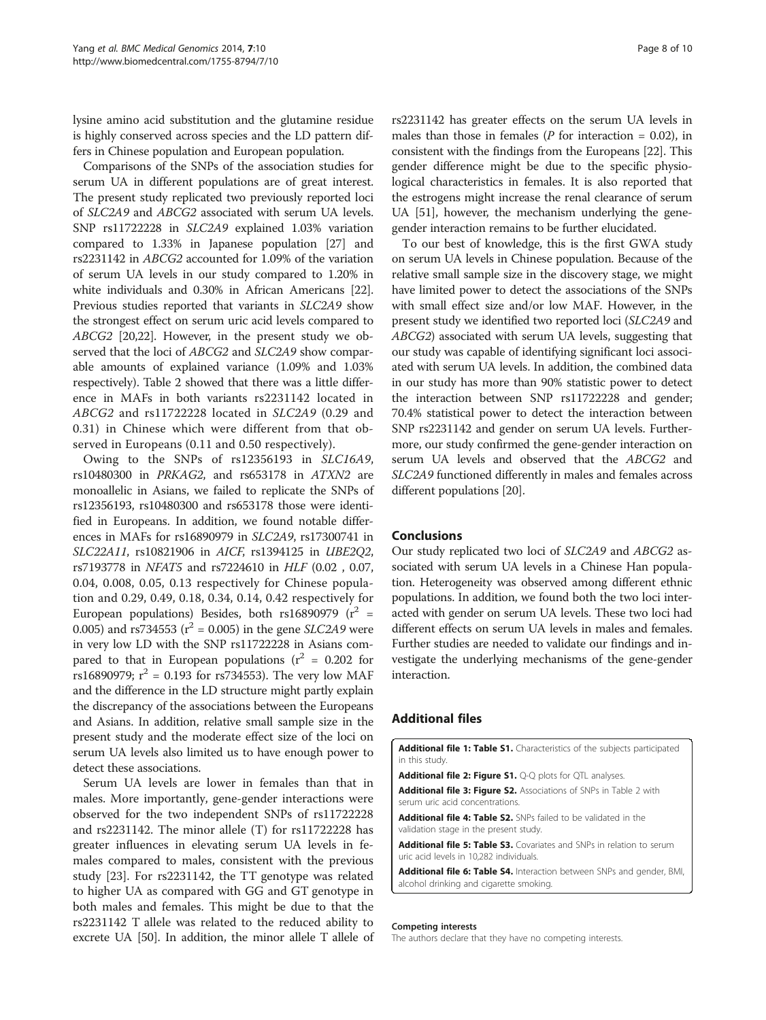<span id="page-7-0"></span>lysine amino acid substitution and the glutamine residue is highly conserved across species and the LD pattern differs in Chinese population and European population.

Comparisons of the SNPs of the association studies for serum UA in different populations are of great interest. The present study replicated two previously reported loci of SLC2A9 and ABCG2 associated with serum UA levels. SNP rs11722228 in SLC2A9 explained 1.03% variation compared to 1.33% in Japanese population [\[27\]](#page-8-0) and rs2231142 in ABCG2 accounted for 1.09% of the variation of serum UA levels in our study compared to 1.20% in white individuals and 0.30% in African Americans [[22](#page-8-0)]. Previous studies reported that variants in SLC2A9 show the strongest effect on serum uric acid levels compared to ABCG2 [\[20,22\]](#page-8-0). However, in the present study we observed that the loci of ABCG2 and SLC2A9 show comparable amounts of explained variance (1.09% and 1.03% respectively). Table [2](#page-4-0) showed that there was a little difference in MAFs in both variants rs2231142 located in ABCG2 and rs11722228 located in SLC2A9 (0.29 and 0.31) in Chinese which were different from that observed in Europeans (0.11 and 0.50 respectively).

Owing to the SNPs of rs12356193 in SLC16A9, rs10480300 in PRKAG2, and rs653178 in ATXN2 are monoallelic in Asians, we failed to replicate the SNPs of rs12356193, rs10480300 and rs653178 those were identified in Europeans. In addition, we found notable differences in MAFs for rs16890979 in SLC2A9, rs17300741 in SLC22A11, rs10821906 in AICF, rs1394125 in UBE2Q2, rs7193778 in NFAT5 and rs7224610 in HLF (0.02 , 0.07, 0.04, 0.008, 0.05, 0.13 respectively for Chinese population and 0.29, 0.49, 0.18, 0.34, 0.14, 0.42 respectively for European populations) Besides, both rs16890979 ( $r^2$  = 0.005) and rs734553 ( $r^2$  = 0.005) in the gene *SLC2A9* were in very low LD with the SNP rs11722228 in Asians compared to that in European populations ( $r^2 = 0.202$  for rs16890979;  $r^2 = 0.193$  for rs734553). The very low MAF and the difference in the LD structure might partly explain the discrepancy of the associations between the Europeans and Asians. In addition, relative small sample size in the present study and the moderate effect size of the loci on serum UA levels also limited us to have enough power to detect these associations.

Serum UA levels are lower in females than that in males. More importantly, gene-gender interactions were observed for the two independent SNPs of rs11722228 and rs2231142. The minor allele (T) for rs11722228 has greater influences in elevating serum UA levels in females compared to males, consistent with the previous study [[23](#page-8-0)]. For rs2231142, the TT genotype was related to higher UA as compared with GG and GT genotype in both males and females. This might be due to that the rs2231142 T allele was related to the reduced ability to excrete UA [[50](#page-9-0)]. In addition, the minor allele T allele of

rs2231142 has greater effects on the serum UA levels in males than those in females ( $P$  for interaction = 0.02), in consistent with the findings from the Europeans [\[22\]](#page-8-0). This gender difference might be due to the specific physiological characteristics in females. It is also reported that the estrogens might increase the renal clearance of serum UA [\[51\]](#page-9-0), however, the mechanism underlying the genegender interaction remains to be further elucidated.

To our best of knowledge, this is the first GWA study on serum UA levels in Chinese population. Because of the relative small sample size in the discovery stage, we might have limited power to detect the associations of the SNPs with small effect size and/or low MAF. However, in the present study we identified two reported loci (SLC2A9 and ABCG2) associated with serum UA levels, suggesting that our study was capable of identifying significant loci associated with serum UA levels. In addition, the combined data in our study has more than 90% statistic power to detect the interaction between SNP rs11722228 and gender; 70.4% statistical power to detect the interaction between SNP rs2231142 and gender on serum UA levels. Furthermore, our study confirmed the gene-gender interaction on serum UA levels and observed that the ABCG2 and SLC2A9 functioned differently in males and females across different populations [[20](#page-8-0)].

#### **Conclusions**

Our study replicated two loci of SLC2A9 and ABCG2 associated with serum UA levels in a Chinese Han population. Heterogeneity was observed among different ethnic populations. In addition, we found both the two loci interacted with gender on serum UA levels. These two loci had different effects on serum UA levels in males and females. Further studies are needed to validate our findings and investigate the underlying mechanisms of the gene-gender interaction.

## Additional files

[Additional file 1: Table S1.](http://www.biomedcentral.com/content/supplementary/1755-8794-7-10-S1.doc) Characteristics of the subjects participated in this study.

[Additional file 2: Figure S1.](http://www.biomedcentral.com/content/supplementary/1755-8794-7-10-S2.doc) Q-Q plots for QTL analyses.

[Additional file 3: Figure S2.](http://www.biomedcentral.com/content/supplementary/1755-8794-7-10-S3.doc) Associations of SNPs in Table [2](#page-4-0) with serum uric acid concentrations.

[Additional file 4: Table S2.](http://www.biomedcentral.com/content/supplementary/1755-8794-7-10-S4.doc) SNPs failed to be validated in the validation stage in the present study.

[Additional file 5: Table S3.](http://www.biomedcentral.com/content/supplementary/1755-8794-7-10-S5.doc) Covariates and SNPs in relation to serum uric acid levels in 10,282 individuals.

[Additional file 6: Table S4.](http://www.biomedcentral.com/content/supplementary/1755-8794-7-10-S6.doc) Interaction between SNPs and gender, BMI, alcohol drinking and cigarette smoking.

#### Competing interests

The authors declare that they have no competing interests.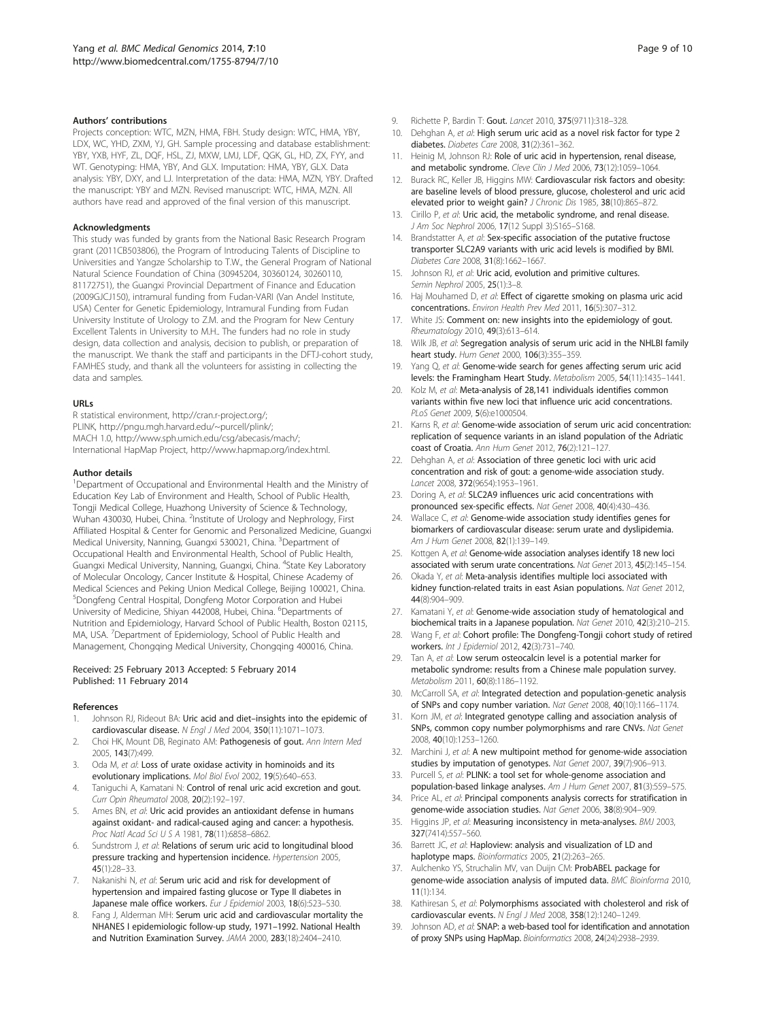#### <span id="page-8-0"></span>Authors' contributions

Projects conception: WTC, MZN, HMA, FBH. Study design: WTC, HMA, YBY, LDX, WC, YHD, ZXM, YJ, GH. Sample processing and database establishment: YBY, YXB, HYF, ZL, DQF, HSL, ZJ, MXW, LMJ, LDF, QGK, GL, HD, ZX, FYY, and WT. Genotyping: HMA, YBY, And GLX. Imputation: HMA, YBY, GLX. Data analysis: YBY, DXY, and LJ. Interpretation of the data: HMA, MZN, YBY. Drafted the manuscript: YBY and MZN. Revised manuscript: WTC, HMA, MZN. All authors have read and approved of the final version of this manuscript.

#### Acknowledgments

This study was funded by grants from the National Basic Research Program grant (2011CB503806), the Program of Introducing Talents of Discipline to Universities and Yangze Scholarship to T.W., the General Program of National Natural Science Foundation of China (30945204, 30360124, 30260110, 81172751), the Guangxi Provincial Department of Finance and Education (2009GJCJ150), intramural funding from Fudan-VARI (Van Andel Institute, USA) Center for Genetic Epidemiology, Intramural Funding from Fudan University Institute of Urology to Z.M. and the Program for New Century Excellent Talents in University to M.H.. The funders had no role in study design, data collection and analysis, decision to publish, or preparation of the manuscript. We thank the staff and participants in the DFTJ-cohort study, FAMHES study, and thank all the volunteers for assisting in collecting the data and samples.

#### URLs

R statistical environment, [http://cran.r-project.org/;](http://cran.r-project.org/) PLINK,<http://pngu.mgh.harvard.edu/~purcell/plink/>; MACH 1.0, [http://www.sph.umich.edu/csg/abecasis/mach/;](http://www.sph.umich.edu/csg/abecasis/mach/) International HapMap Project,<http://www.hapmap.org/index.html>.

#### Author details

<sup>1</sup>Department of Occupational and Environmental Health and the Ministry of Education Key Lab of Environment and Health, School of Public Health, Tongji Medical College, Huazhong University of Science & Technology, Wuhan 430030, Hubei, China. <sup>2</sup>Institute of Urology and Nephrology, First Affiliated Hospital & Center for Genomic and Personalized Medicine, Guangxi Medical University, Nanning, Guangxi 530021, China. <sup>3</sup>Department of Occupational Health and Environmental Health, School of Public Health, Guangxi Medical University, Nanning, Guangxi, China. <sup>4</sup>State Key Laboratory of Molecular Oncology, Cancer Institute & Hospital, Chinese Academy of Medical Sciences and Peking Union Medical College, Beijing 100021, China. 5 Dongfeng Central Hospital, Dongfeng Motor Corporation and Hubei University of Medicine, Shiyan 442008, Hubei, China. <sup>6</sup>Departments of Nutrition and Epidemiology, Harvard School of Public Health, Boston 02115, MA, USA. <sup>7</sup>Department of Epidemiology, School of Public Health and Management, Chongqing Medical University, Chongqing 400016, China.

#### Received: 25 February 2013 Accepted: 5 February 2014 Published: 11 February 2014

#### References

- Johnson RJ, Rideout BA: Uric acid and diet-insights into the epidemic of cardiovascular disease. N Engl J Med 2004, 350(11):1071–1073.
- 2. Choi HK, Mount DB, Reginato AM: Pathogenesis of gout. Ann Intern Med 2005, 143(7):499.
- 3. Oda M, et al: Loss of urate oxidase activity in hominoids and its evolutionary implications. Mol Biol Evol 2002, 19(5):640–653.
- 4. Taniguchi A, Kamatani N: Control of renal uric acid excretion and gout. Curr Opin Rheumatol 2008, 20(2):192–197.
- 5. Ames BN, et al: Uric acid provides an antioxidant defense in humans against oxidant- and radical-caused aging and cancer: a hypothesis. Proc Natl Acad Sci U S A 1981, 78(11):6858–6862.
- 6. Sundstrom J, et al: Relations of serum uric acid to longitudinal blood pressure tracking and hypertension incidence. Hypertension 2005, 45(1):28–33.
- 7. Nakanishi N, et al: Serum uric acid and risk for development of hypertension and impaired fasting glucose or Type II diabetes in Japanese male office workers. Eur J Epidemiol 2003, 18(6):523-530.
- Fang J, Alderman MH: Serum uric acid and cardiovascular mortality the NHANES I epidemiologic follow-up study, 1971–1992. National Health and Nutrition Examination Survey. JAMA 2000, 283(18):2404–2410.
- 9. Richette P, Bardin T: Gout. Lancet 2010, 375(9711):318-328.
- 10. Dehghan A, et al: High serum uric acid as a novel risk factor for type 2 diabetes. Diabetes Care 2008, 31(2):361–362.
- 11. Heinig M, Johnson RJ: Role of uric acid in hypertension, renal disease, and metabolic syndrome. Cleve Clin J Med 2006, 73(12):1059-1064.
- 12. Burack RC, Keller JB, Higgins MW: Cardiovascular risk factors and obesity: are baseline levels of blood pressure, glucose, cholesterol and uric acid elevated prior to weight gain? J Chronic Dis 1985, 38(10):865–872.
- 13. Cirillo P, et al: Uric acid, the metabolic syndrome, and renal disease. J Am Soc Nephrol 2006, 17(12 Suppl 3):S165–S168.
- 14. Brandstatter A, et al: Sex-specific association of the putative fructose transporter SLC2A9 variants with uric acid levels is modified by BMI. Diabetes Care 2008, 31(8):1662–1667.
- 15. Johnson RJ, et al: Uric acid, evolution and primitive cultures. Semin Nephrol 2005, 25(1):3-8.
- 16. Haj Mouhamed D, et al: Effect of cigarette smoking on plasma uric acid concentrations. Environ Health Prev Med 2011, 16(5):307–312.
- 17. White JS: Comment on: new insights into the epidemiology of gout. Rheumatology 2010, 49(3):613–614.
- 18. Wilk JB, et al: Segregation analysis of serum uric acid in the NHLBI family heart study. Hum Genet 2000, 106(3):355–359.
- 19. Yang Q, et al: Genome-wide search for genes affecting serum uric acid levels: the Framingham Heart Study. Metabolism 2005, 54(11):1435–1441.
- 20. Kolz M, et al: Meta-analysis of 28,141 individuals identifies common variants within five new loci that influence uric acid concentrations. PLoS Genet 2009, 5(6):e1000504.
- 21. Karns R, et al: Genome-wide association of serum uric acid concentration: replication of sequence variants in an island population of the Adriatic coast of Croatia. Ann Hum Genet 2012, 76(2):121–127.
- 22. Dehghan A, et al: Association of three genetic loci with uric acid concentration and risk of gout: a genome-wide association study. Lancet 2008, 372(9654):1953–1961.
- 23. Doring A, et al: SLC2A9 influences uric acid concentrations with pronounced sex-specific effects. Nat Genet 2008, 40(4):430–436.
- 24. Wallace C, et al: Genome-wide association study identifies genes for biomarkers of cardiovascular disease: serum urate and dyslipidemia. Am J Hum Genet 2008, 82(1):139–149.
- 25. Kottgen A, et al: Genome-wide association analyses identify 18 new loci associated with serum urate concentrations. Nat Genet 2013, 45(2):145–154.
- 26. Okada Y, et al: Meta-analysis identifies multiple loci associated with kidney function-related traits in east Asian populations. Nat Genet 2012, 44(8):904–909.
- 27. Kamatani Y, et al: Genome-wide association study of hematological and biochemical traits in a Japanese population. Nat Genet 2010, 42(3):210–215.
- 28. Wang F, et al: Cohort profile: The Dongfeng-Tongji cohort study of retired workers. Int J Epidemiol 2012, 42(3):731–740.
- 29. Tan A, et al: Low serum osteocalcin level is a potential marker for metabolic syndrome: results from a Chinese male population survey. Metabolism 2011, 60(8):1186–1192.
- 30. McCarroll SA, et al: Integrated detection and population-genetic analysis of SNPs and copy number variation. Nat Genet 2008, 40(10):1166–1174.
- 31. Korn JM, et al: Integrated genotype calling and association analysis of SNPs, common copy number polymorphisms and rare CNVs. Nat Genet 2008, 40(10):1253–1260.
- 32. Marchini J, et al: A new multipoint method for genome-wide association studies by imputation of genotypes. Nat Genet 2007, 39(7):906–913.
- 33. Purcell S, et al: PLINK: a tool set for whole-genome association and population-based linkage analyses. Am J Hum Genet 2007, 81(3):559–575.
- 34. Price AL, et al: Principal components analysis corrects for stratification in genome-wide association studies. Nat Genet 2006, 38(8):904–909.
- Higgins JP, et al: Measuring inconsistency in meta-analyses. BMJ 2003, 327(7414):557–560.
- 36. Barrett JC, et al: Haploview: analysis and visualization of LD and haplotype maps. Bioinformatics 2005, 21(2):263-265.
- 37. Aulchenko YS, Struchalin MV, van Duijn CM: ProbABEL package for genome-wide association analysis of imputed data. BMC Bioinforma 2010, 11(1):134.
- 38. Kathiresan S, et al: Polymorphisms associated with cholesterol and risk of cardiovascular events. N Engl J Med 2008, 358(12):1240–1249.
- 39. Johnson AD, et al: SNAP: a web-based tool for identification and annotation of proxy SNPs using HapMap. Bioinformatics 2008, 24(24):2938–2939.